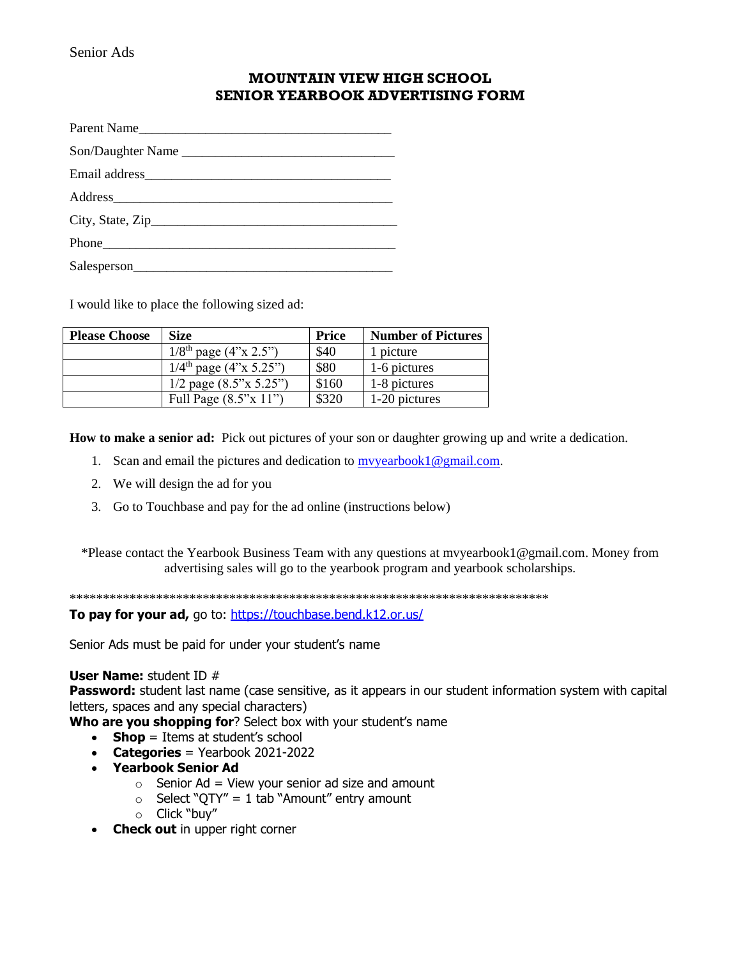## **MOUNTAIN VIEW HIGH SCHOOL SENIOR YEARBOOK ADVERTISING FORM**

| Parent Name       |  |  |  |  |
|-------------------|--|--|--|--|
| Son/Daughter Name |  |  |  |  |
|                   |  |  |  |  |
|                   |  |  |  |  |
|                   |  |  |  |  |
|                   |  |  |  |  |
| Salesperson       |  |  |  |  |

I would like to place the following sized ad:

| <b>Please Choose</b> | <b>Size</b>                             | <b>Price</b> | <b>Number of Pictures</b> |
|----------------------|-----------------------------------------|--------------|---------------------------|
|                      | $1/8$ <sup>th</sup> page $(4"x 2.5")$   | \$40         | 1 picture                 |
|                      | $1/4$ <sup>th</sup> page $(4$ "x 5.25") | \$80         | 1-6 pictures              |
|                      | $1/2$ page $(8.5" \times 5.25")$        | \$160        | 1-8 pictures              |
|                      | Full Page $(8.5" \times 11")$           | \$320        | 1-20 pictures             |

**How to make a senior ad:** Pick out pictures of your son or daughter growing up and write a dedication.

- 1. Scan and email the pictures and dedication to  $m$ yearbook1@gmail.com.
- 2. We will design the ad for you
- 3. Go to Touchbase and pay for the ad online (instructions below)

\*Please contact the Yearbook Business Team with any questions at mvyearbook1@gmail.com. Money from advertising sales will go to the yearbook program and yearbook scholarships.

\*\*\*\*\*\*\*\*\*\*\*\*\*\*\*\*\*\*\*\*\*\*\*\*\*\*\*\*\*\*\*\*\*\*\*\*\*\*\*\*\*\*\*\*\*\*\*\*\*\*\*\*\*\*\*\*\*\*\*\*\*\*\*\*\*\*\*\*\*\*\*\*

To pay for your ad, go to:<https://touchbase.bend.k12.or.us/>

Senior Ads must be paid for under your student's name

## **User Name:** student ID #

Password: student last name (case sensitive, as it appears in our student information system with capital letters, spaces and any special characters)

**Who are you shopping for**? Select box with your student's name

- **Shop** = Items at student's school
- **Categories** = Yearbook 2021-2022
- **Yearbook Senior Ad**
	- $\circ$  Senior Ad = View your senior ad size and amount
	- $\circ$  Select "QTY" = 1 tab "Amount" entry amount
	- o Click "buy"
- **Check out** in upper right corner